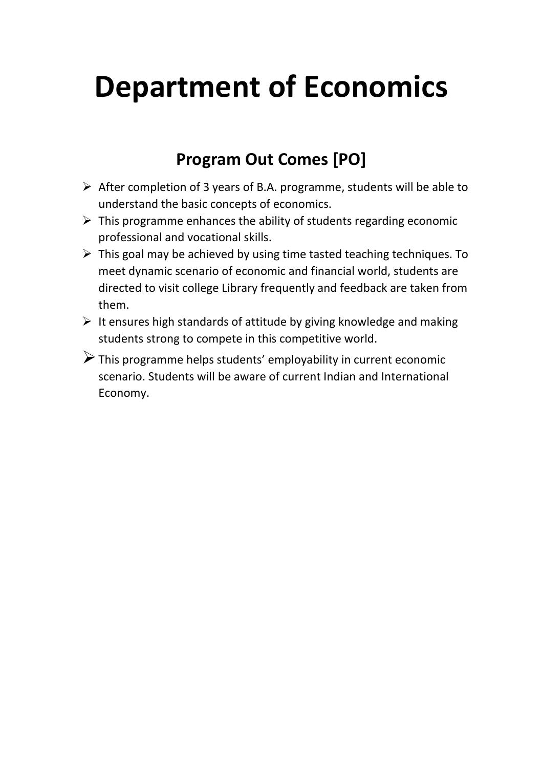## **Department of Economics**

## **Program Out Comes [PO]**

- ➢ After completion of 3 years of B.A. programme, students will be able to understand the basic concepts of economics.
- $\triangleright$  This programme enhances the ability of students regarding economic professional and vocational skills.
- $\triangleright$  This goal may be achieved by using time tasted teaching techniques. To meet dynamic scenario of economic and financial world, students are directed to visit college Library frequently and feedback are taken from them.
- $\triangleright$  It ensures high standards of attitude by giving knowledge and making students strong to compete in this competitive world.
- ➢This programme helps students' employability in current economic scenario. Students will be aware of current Indian and International Economy.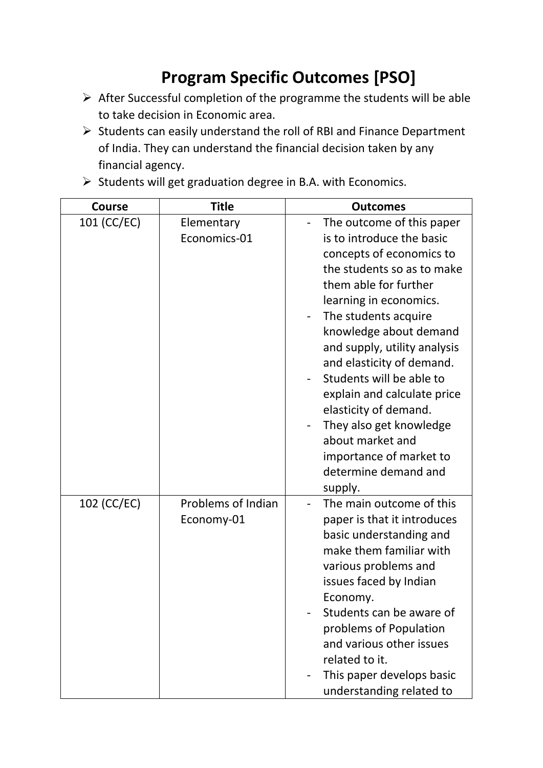## **Program Specific Outcomes [PSO]**

- ➢ After Successful completion of the programme the students will be able to take decision in Economic area.
- ➢ Students can easily understand the roll of RBI and Finance Department of India. They can understand the financial decision taken by any financial agency.
- ➢ Students will get graduation degree in B.A. with Economics.

| <b>Course</b> | <b>Title</b>                            | <b>Outcomes</b>                                                                                                                                                                                                                                                                                                                                                                                                                                                                     |
|---------------|-----------------------------------------|-------------------------------------------------------------------------------------------------------------------------------------------------------------------------------------------------------------------------------------------------------------------------------------------------------------------------------------------------------------------------------------------------------------------------------------------------------------------------------------|
| 101 (CC/EC)   | Elementary<br>Economics-01              | The outcome of this paper<br>is to introduce the basic<br>concepts of economics to<br>the students so as to make<br>them able for further<br>learning in economics.<br>The students acquire<br>knowledge about demand<br>and supply, utility analysis<br>and elasticity of demand.<br>Students will be able to<br>explain and calculate price<br>elasticity of demand.<br>They also get knowledge<br>about market and<br>importance of market to<br>determine demand and<br>supply. |
| 102 (CC/EC)   | <b>Problems of Indian</b><br>Economy-01 | The main outcome of this<br>paper is that it introduces<br>basic understanding and<br>make them familiar with<br>various problems and<br>issues faced by Indian<br>Economy.<br>Students can be aware of<br>problems of Population<br>and various other issues<br>related to it.<br>This paper develops basic<br>understanding related to                                                                                                                                            |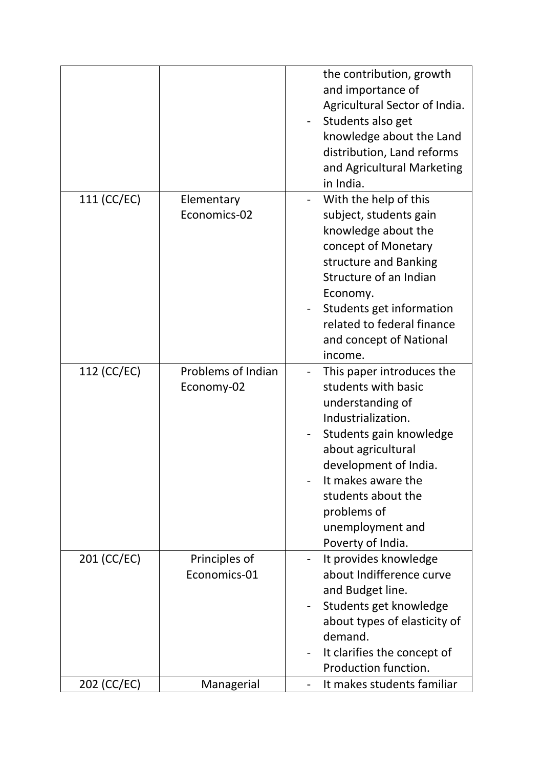|             |                                  | the contribution, growth<br>and importance of<br>Agricultural Sector of India.<br>Students also get<br>knowledge about the Land<br>distribution, Land reforms<br>and Agricultural Marketing<br>in India.                                                                 |
|-------------|----------------------------------|--------------------------------------------------------------------------------------------------------------------------------------------------------------------------------------------------------------------------------------------------------------------------|
| 111 (CC/EC) | Elementary<br>Economics-02       | With the help of this<br>subject, students gain<br>knowledge about the<br>concept of Monetary<br>structure and Banking<br>Structure of an Indian<br>Economy.<br>Students get information<br>related to federal finance<br>and concept of National<br>income.             |
| 112 (CC/EC) | Problems of Indian<br>Economy-02 | This paper introduces the<br>students with basic<br>understanding of<br>Industrialization.<br>Students gain knowledge<br>about agricultural<br>development of India.<br>It makes aware the<br>students about the<br>problems of<br>unemployment and<br>Poverty of India. |
| 201 (CC/EC) | Principles of<br>Economics-01    | It provides knowledge<br>about Indifference curve<br>and Budget line.<br>Students get knowledge<br>about types of elasticity of<br>demand.<br>It clarifies the concept of<br>Production function.                                                                        |
| 202 (CC/EC) | Managerial                       | It makes students familiar                                                                                                                                                                                                                                               |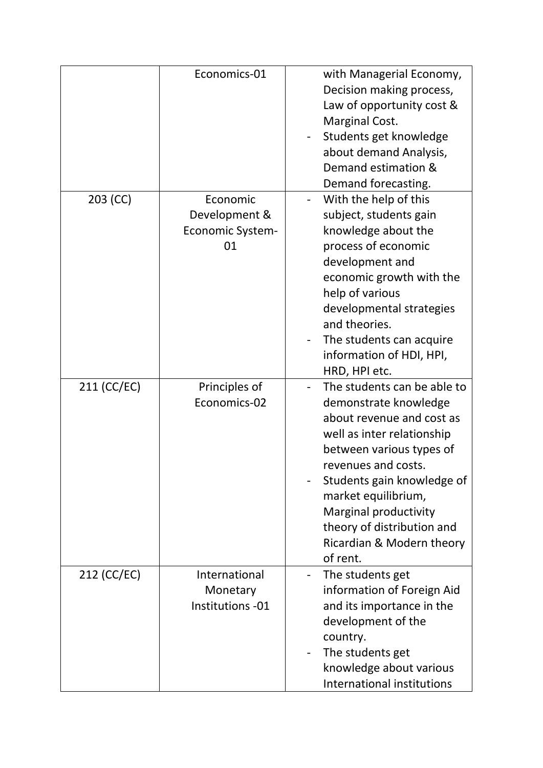|             | Economics-01                                               | with Managerial Economy,<br>Decision making process,<br>Law of opportunity cost &<br>Marginal Cost.<br>Students get knowledge<br>about demand Analysis,<br>Demand estimation &<br>Demand forecasting.                                                                                                                   |
|-------------|------------------------------------------------------------|-------------------------------------------------------------------------------------------------------------------------------------------------------------------------------------------------------------------------------------------------------------------------------------------------------------------------|
| 203 (CC)    | Economic<br>Development &<br><b>Economic System-</b><br>01 | With the help of this<br>subject, students gain<br>knowledge about the<br>process of economic<br>development and<br>economic growth with the<br>help of various<br>developmental strategies<br>and theories.<br>The students can acquire<br>information of HDI, HPI,<br>HRD, HPI etc.                                   |
| 211 (CC/EC) | Principles of<br>Economics-02                              | The students can be able to<br>demonstrate knowledge<br>about revenue and cost as<br>well as inter relationship<br>between various types of<br>revenues and costs.<br>Students gain knowledge of<br>market equilibrium,<br>Marginal productivity<br>theory of distribution and<br>Ricardian & Modern theory<br>of rent. |
| 212 (CC/EC) | International<br>Monetary<br>Institutions -01              | The students get<br>information of Foreign Aid<br>and its importance in the<br>development of the<br>country.<br>The students get<br>knowledge about various<br>International institutions                                                                                                                              |